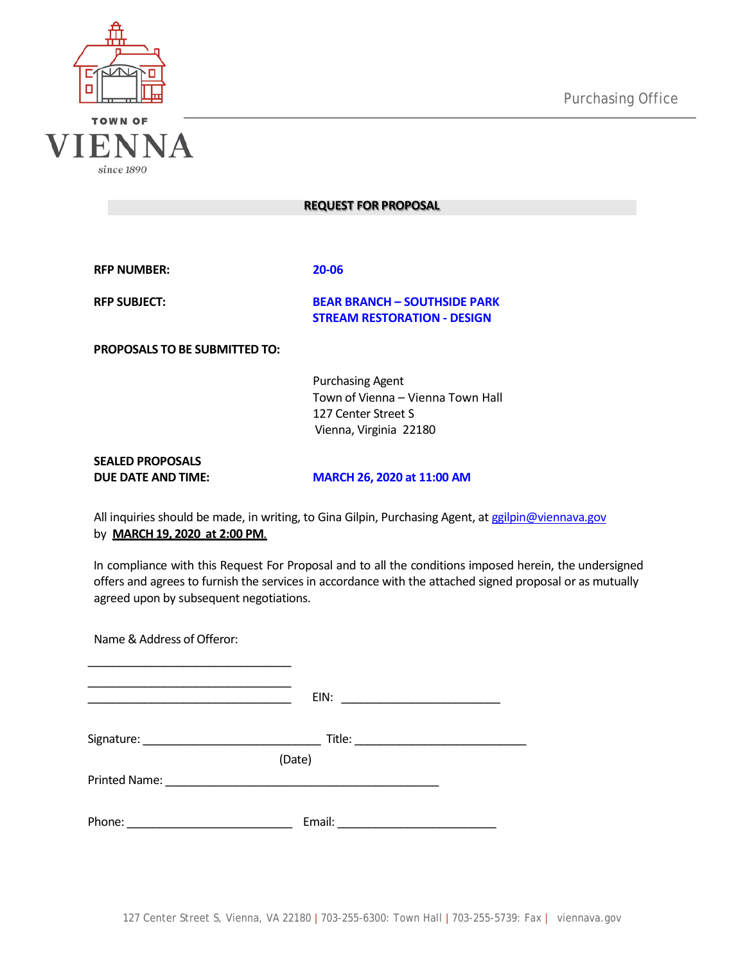



since 1890

|  |  | REQUEST FOR PROPOSAL |
|--|--|----------------------|
|--|--|----------------------|

**RFP NUMBER: 20-06**

**RFP SUBJECT: BEAR BRANCH – SOUTHSIDE PARK STREAM RESTORATION - DESIGN**

**PROPOSALS TO BE SUBMITTED TO:**

Purchasing Agent Town of Vienna – Vienna Town Hall 127 Center Street S Vienna, Virginia 22180

**SEALED PROPOSALS**

**DUE DATE AND TIME: MARCH 26, 2020 at 11:00 AM**

All inquiries should be made, in writing, to Gina Gilpin, Purchasing Agent, at [ggilpin@viennava.gov](mailto:ggilpin@viennava.gov) by **MARCH 19, 2020 at 2:00 PM***.*

In compliance with this Request For Proposal and to all the conditions imposed herein, the undersigned offers and agrees to furnish the services in accordance with the attached signed proposal or as mutually agreed upon by subsequent negotiations.

| Name & Address of Offeror:                                                                                            |        |                                                                                                                        |
|-----------------------------------------------------------------------------------------------------------------------|--------|------------------------------------------------------------------------------------------------------------------------|
| <u> 1989 - Johann John Stein, mars eta industrial eta industrial eta industrial eta industrial eta industrial eta</u> | EIN:   | <u> 1989 - Jan Barat, margaret amerikan basal dan berasal dalam basal dalam basal dan berasal dan basal dalam basa</u> |
|                                                                                                                       |        |                                                                                                                        |
|                                                                                                                       | (Date) |                                                                                                                        |
|                                                                                                                       |        |                                                                                                                        |
|                                                                                                                       |        |                                                                                                                        |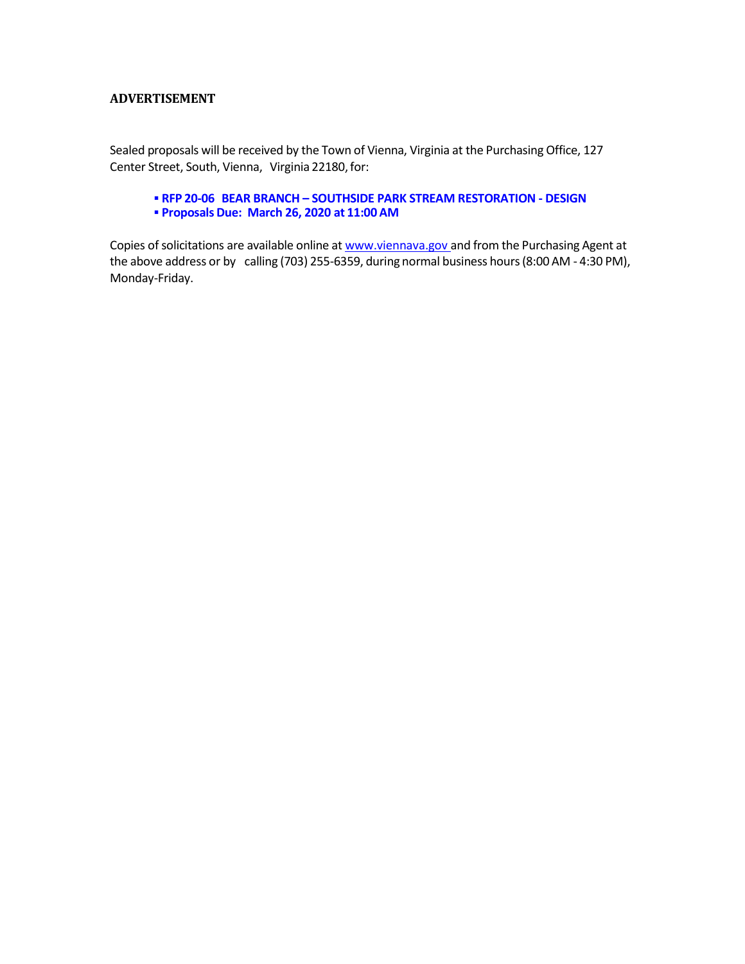## **ADVERTISEMENT**

Sealed proposals will be received by the Town of Vienna, Virginia at the Purchasing Office, 127 Center Street, South, Vienna, Virginia 22180, for:

# **RFP 20-06 BEAR BRANCH – SOUTHSIDE PARK STREAM RESTORATION - DESIGN ProposalsDue: March 26, 2020 at 11:00 AM**

Copies of solicitations are available online at [www.viennava.gov](http://www.viennava.gov/) and from the Purchasing Agent at the above address or by calling (703) 255-6359, during normal business hours(8:00 AM - 4:30 PM), Monday-Friday.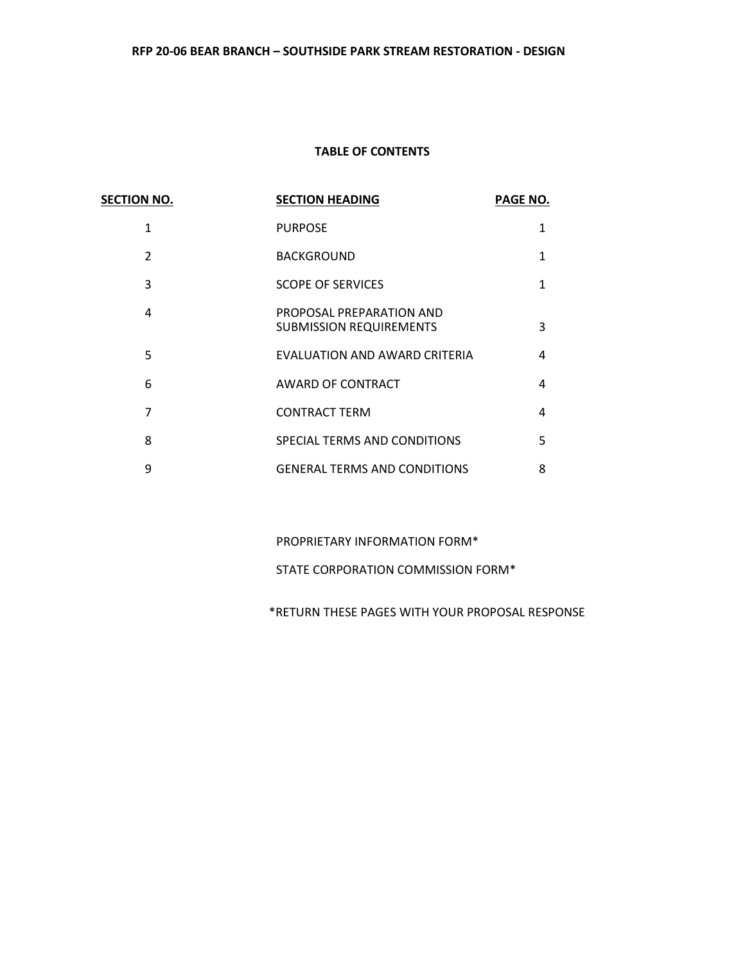# **TABLE OF CONTENTS**

| <b>SECTION NO.</b> | <b>SECTION HEADING</b>                                     | <b>PAGE NO.</b> |
|--------------------|------------------------------------------------------------|-----------------|
| 1                  | <b>PURPOSE</b>                                             | 1               |
| $\mathfrak{p}$     | <b>BACKGROUND</b>                                          | 1               |
| 3                  | <b>SCOPE OF SERVICES</b>                                   | 1               |
| 4                  | PROPOSAL PREPARATION AND<br><b>SUBMISSION REQUIREMENTS</b> | 3               |
| 5                  | EVALUATION AND AWARD CRITERIA                              | 4               |
| 6                  | <b>AWARD OF CONTRACT</b>                                   | 4               |
| 7                  | <b>CONTRACT TERM</b>                                       | 4               |
| 8                  | SPECIAL TERMS AND CONDITIONS                               | 5               |
| 9                  | <b>GENERAL TERMS AND CONDITIONS</b>                        | 8               |

PROPRIETARY INFORMATION FORM\*

STATE CORPORATION COMMISSION FORM\*

\*RETURN THESE PAGES WITH YOUR PROPOSAL RESPONSE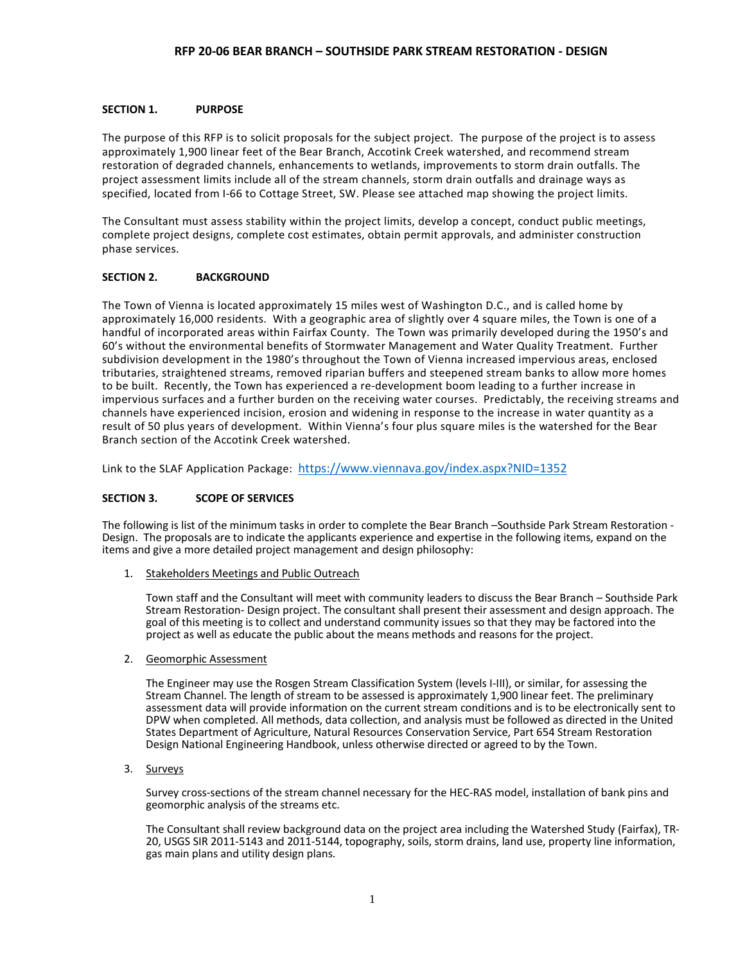#### **SECTION 1. PURPOSE**

The purpose of this RFP is to solicit proposals for the subject project. The purpose of the project is to assess approximately 1,900 linear feet of the Bear Branch, Accotink Creek watershed, and recommend stream restoration of degraded channels, enhancements to wetlands, improvements to storm drain outfalls. The project assessment limits include all of the stream channels, storm drain outfalls and drainage ways as specified, located from I-66 to Cottage Street, SW. Please see attached map showing the project limits.

The Consultant must assess stability within the project limits, develop a concept, conduct public meetings, complete project designs, complete cost estimates, obtain permit approvals, and administer construction phase services.

#### **SECTION 2. BACKGROUND**

The Town of Vienna is located approximately 15 miles west of Washington D.C., and is called home by approximately 16,000 residents. With a geographic area of slightly over 4 square miles, the Town is one of a handful of incorporated areas within Fairfax County. The Town was primarily developed during the 1950's and 60's without the environmental benefits of Stormwater Management and Water Quality Treatment. Further subdivision development in the 1980's throughout the Town of Vienna increased impervious areas, enclosed tributaries, straightened streams, removed riparian buffers and steepened stream banks to allow more homes to be built. Recently, the Town has experienced a re-development boom leading to a further increase in impervious surfaces and a further burden on the receiving water courses. Predictably, the receiving streams and channels have experienced incision, erosion and widening in response to the increase in water quantity as a result of 50 plus years of development. Within Vienna's four plus square miles is the watershed for the Bear Branch section of the Accotink Creek watershed.

Link to the SLAF Application Package: <https://www.viennava.gov/index.aspx?NID=1352>

#### **SECTION 3. SCOPE OF SERVICES**

The following is list of the minimum tasks in order to complete the Bear Branch -Southside Park Stream Restoration -<br>Design. The proposals are to indicate the applicants experience and expertise in the following items, exp items and give a more detailed project management and design philosophy:

1. Stakeholders Meetings and Public Outreach

Town staff and the Consultant will meet with community leaders to discuss the Bear Branch – Southside Park Stream Restoration- Design project. The consultant shall present their assessment and design approach. The goal of this meeting is to collect and understand community issues so that they may be factored into the project as well as educate the public about the means methods and reasons for the project.

2. Geomorphic Assessment

The Engineer may use the Rosgen Stream Classification System (levels I-III), or similar, for assessing the Stream Channel. The length of stream to be assessed is approximately 1,900 linear feet. The preliminary assessment data will provide information on the current stream conditions and is to be electronically sent to DPW when completed. All methods, data collection, and analysis must be followed as directed in the United States Department of Agriculture, Natural Resources Conservation Service, Part 654 Stream Restoration Design National Engineering Handbook, unless otherwise directed or agreed to by the Town.

3. Surveys

Survey cross-sections of the stream channel necessary for the HEC-RAS model, installation of bank pins and geomorphic analysis of the streams etc.

The Consultant shall review background data on the project area including the Watershed Study (Fairfax), TR-20, USGS SIR 2011-5143 and 2011-5144, topography, soils, storm drains, land use, property line information, gas main plans and utility design plans.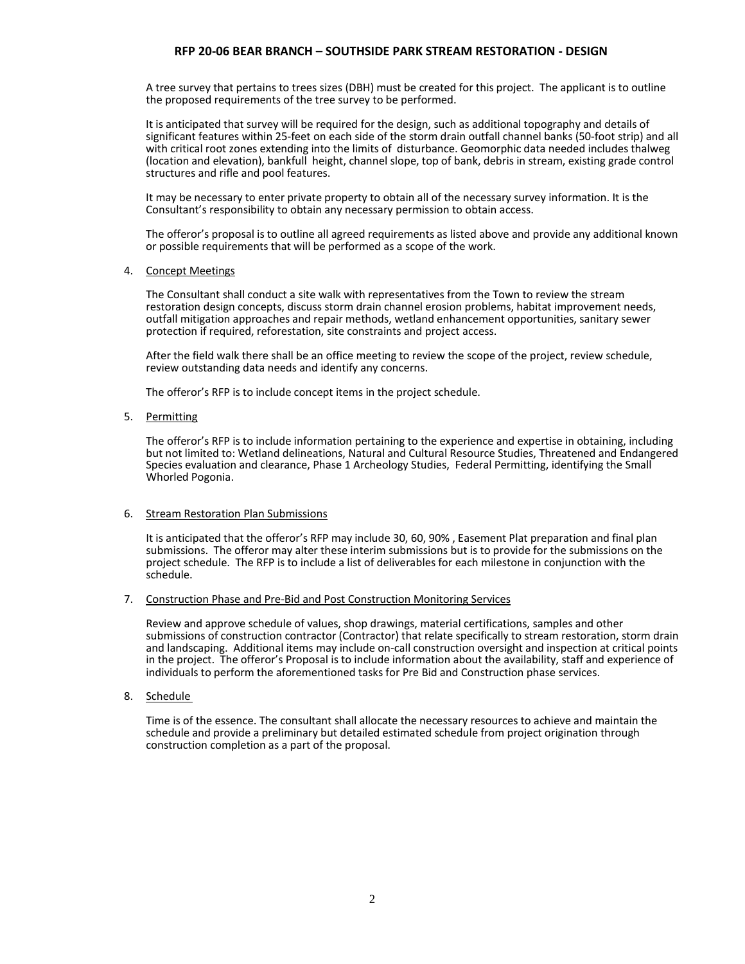A tree survey that pertains to trees sizes (DBH) must be created for this project. The applicant is to outline the proposed requirements of the tree survey to be performed.

It is anticipated that survey will be required for the design, such as additional topography and details of significant features within 25-feet on each side of the storm drain outfall channel banks (50-foot strip) and all with critical root zones extending into the limits of disturbance. Geomorphic data needed includes thalweg (location and elevation), bankfull height, channel slope, top of bank, debris in stream, existing grade control structures and rifle and pool features.

It may be necessary to enter private property to obtain all of the necessary survey information. It is the Consultant's responsibility to obtain any necessary permission to obtain access.

The offeror's proposal is to outline all agreed requirements as listed above and provide any additional known or possible requirements that will be performed as a scope of the work.

4. Concept Meetings

The Consultant shall conduct a site walk with representatives from the Town to review the stream restoration design concepts, discuss storm drain channel erosion problems, habitat improvement needs, outfall mitigation approaches and repair methods, wetland enhancement opportunities, sanitary sewer protection if required, reforestation, site constraints and project access.

After the field walk there shall be an office meeting to review the scope of the project, review schedule, review outstanding data needs and identify any concerns.

The offeror's RFP is to include concept items in the project schedule.

5. Permitting

The offeror's RFP is to include information pertaining to the experience and expertise in obtaining, including but not limited to: Wetland delineations, Natural and Cultural Resource Studies, Threatened and Endangered Species evaluation and clearance, Phase 1 Archeology Studies, Federal Permitting, identifying the Small Whorled Pogonia.

#### 6. Stream Restoration Plan Submissions

It is anticipated that the offeror's RFP may include 30, 60, 90% , Easement Plat preparation and final plan submissions. The offeror may alter these interim submissions but is to provide for the submissions on the project schedule. The RFP is to include a list of deliverables for each milestone in conjunction with the schedule.

#### 7. Construction Phase and Pre-Bid and Post Construction Monitoring Services

Review and approve schedule of values, shop drawings, material certifications, samples and other submissions of construction contractor (Contractor) that relate specifically to stream restoration, storm drain and landscaping. Additional items may include on-call construction oversight and inspection at critical points in the project. The offeror's Proposal is to include information about the availability, staff and experience of individuals to perform the aforementioned tasks for Pre Bid and Construction phase services.

8. Schedule

Time is of the essence. The consultant shall allocate the necessary resources to achieve and maintain the schedule and provide a preliminary but detailed estimated schedule from project origination through construction completion as a part of the proposal.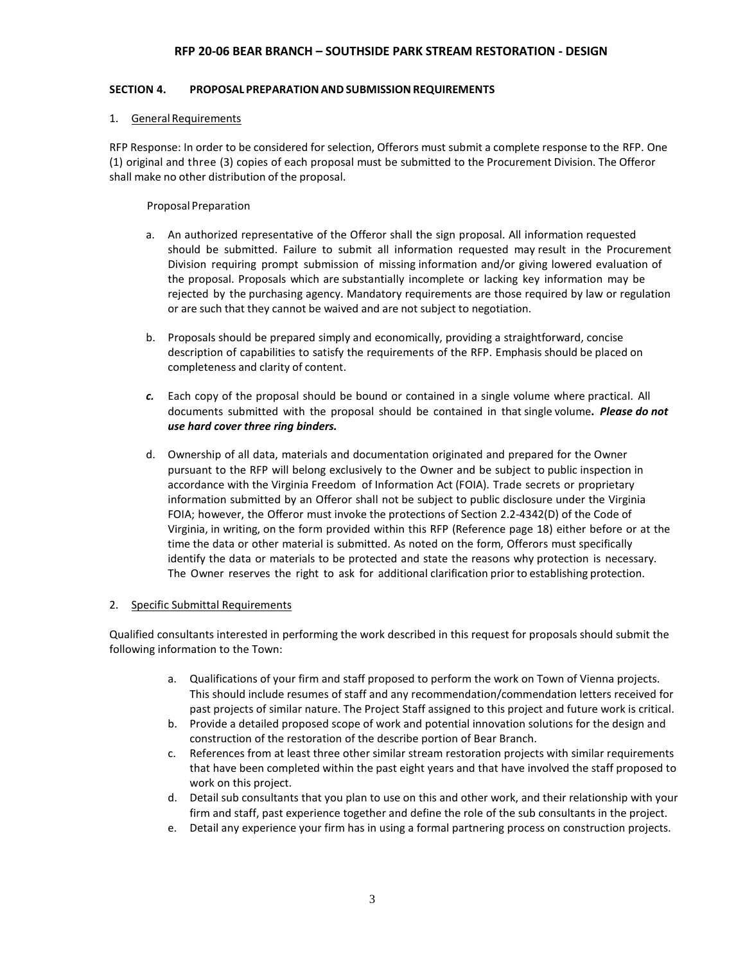#### **SECTION 4. PROPOSAL PREPARATIONAND SUBMISSIONREQUIREMENTS**

#### 1. General Requirements

RFP Response: In order to be considered for selection, Offerors must submit a complete response to the RFP. One (1) original and three (3) copies of each proposal must be submitted to the Procurement Division. The Offeror shall make no other distribution of the proposal.

#### Proposal Preparation

- a. An authorized representative of the Offeror shall the sign proposal. All information requested should be submitted. Failure to submit all information requested may result in the Procurement Division requiring prompt submission of missing information and/or giving lowered evaluation of the proposal. Proposals which are substantially incomplete or lacking key information may be rejected by the purchasing agency. Mandatory requirements are those required by law or regulation or are such that they cannot be waived and are not subject to negotiation.
- b. Proposals should be prepared simply and economically, providing a straightforward, concise description of capabilities to satisfy the requirements of the RFP. Emphasis should be placed on completeness and clarity of content.
- *c.* Each copy of the proposal should be bound or contained in a single volume where practical. All documents submitted with the proposal should be contained in that single volume**.** *Please do not use hard cover three ring binders.*
- d. Ownership of all data, materials and documentation originated and prepared for the Owner pursuant to the RFP will belong exclusively to the Owner and be subject to public inspection in accordance with the Virginia Freedom of Information Act (FOIA). Trade secrets or proprietary information submitted by an Offeror shall not be subject to public disclosure under the Virginia FOIA; however, the Offeror must invoke the protections of Section 2.2-4342(D) of the Code of Virginia, in writing, on the form provided within this RFP (Reference page 18) either before or at the time the data or other material is submitted. As noted on the form, Offerors must specifically identify the data or materials to be protected and state the reasons why protection is necessary. The Owner reserves the right to ask for additional clarification prior to establishing protection.

#### 2. Specific Submittal Requirements

Qualified consultants interested in performing the work described in this request for proposals should submit the following information to the Town:

- a. Qualifications of your firm and staff proposed to perform the work on Town of Vienna projects. This should include resumes of staff and any recommendation/commendation letters received for past projects of similar nature. The Project Staff assigned to this project and future work is critical.
- b. Provide a detailed proposed scope of work and potential innovation solutions for the design and construction of the restoration of the describe portion of Bear Branch.
- c. References from at least three other similar stream restoration projects with similar requirements that have been completed within the past eight years and that have involved the staff proposed to work on this project.
- d. Detail sub consultants that you plan to use on this and other work, and their relationship with your firm and staff, past experience together and define the role of the sub consultants in the project.
- e. Detail any experience your firm has in using a formal partnering process on construction projects.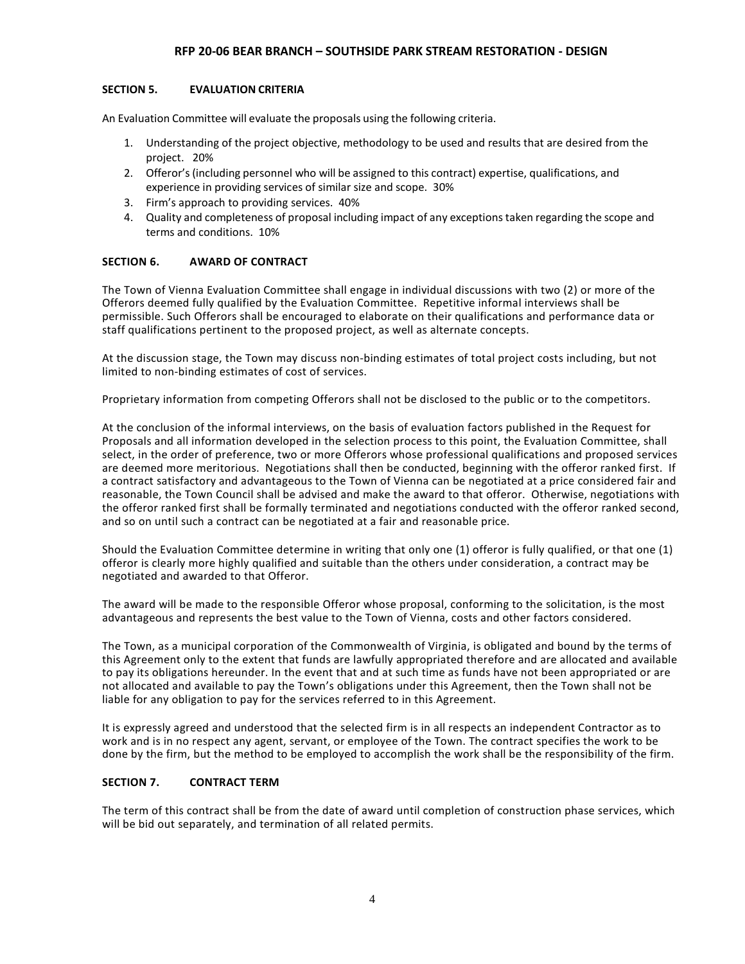#### **SECTION 5. EVALUATION CRITERIA**

An Evaluation Committee will evaluate the proposals using the following criteria.

- 1. Understanding of the project objective, methodology to be used and results that are desired from the project. 20%
- 2. Offeror's(including personnel who will be assigned to this contract) expertise, qualifications, and experience in providing services of similar size and scope. 30%
- 3. Firm's approach to providing services. 40%
- 4. Quality and completeness of proposal including impact of any exceptionstaken regarding the scope and terms and conditions. 10%

#### **SECTION 6. AWARD OF CONTRACT**

The Town of Vienna Evaluation Committee shall engage in individual discussions with two (2) or more of the Offerors deemed fully qualified by the Evaluation Committee. Repetitive informal interviews shall be permissible. Such Offerors shall be encouraged to elaborate on their qualifications and performance data or staff qualifications pertinent to the proposed project, as well as alternate concepts.

At the discussion stage, the Town may discuss non-binding estimates of total project costs including, but not limited to non-binding estimates of cost of services.

Proprietary information from competing Offerors shall not be disclosed to the public or to the competitors.

At the conclusion of the informal interviews, on the basis of evaluation factors published in the Request for Proposals and all information developed in the selection process to this point, the Evaluation Committee, shall select, in the order of preference, two or more Offerors whose professional qualifications and proposed services are deemed more meritorious. Negotiations shall then be conducted, beginning with the offeror ranked first. If a contract satisfactory and advantageous to the Town of Vienna can be negotiated at a price considered fair and reasonable, the Town Council shall be advised and make the award to that offeror. Otherwise, negotiations with the offeror ranked first shall be formally terminated and negotiations conducted with the offeror ranked second, and so on until such a contract can be negotiated at a fair and reasonable price.

Should the Evaluation Committee determine in writing that only one (1) offeror is fully qualified, or that one (1) offeror is clearly more highly qualified and suitable than the others under consideration, a contract may be negotiated and awarded to that Offeror.

The award will be made to the responsible Offeror whose proposal, conforming to the solicitation, is the most advantageous and represents the best value to the Town of Vienna, costs and other factors considered.

The Town, as a municipal corporation of the Commonwealth of Virginia, is obligated and bound by the terms of this Agreement only to the extent that funds are lawfully appropriated therefore and are allocated and available to pay its obligations hereunder. In the event that and at such time as funds have not been appropriated or are not allocated and available to pay the Town's obligations under this Agreement, then the Town shall not be liable for any obligation to pay for the services referred to in this Agreement.

It is expressly agreed and understood that the selected firm is in all respects an independent Contractor as to work and is in no respect any agent, servant, or employee of the Town. The contract specifies the work to be done by the firm, but the method to be employed to accomplish the work shall be the responsibility of the firm.

#### **SECTION 7. CONTRACT TERM**

The term of this contract shall be from the date of award until completion of construction phase services, which will be bid out separately, and termination of all related permits.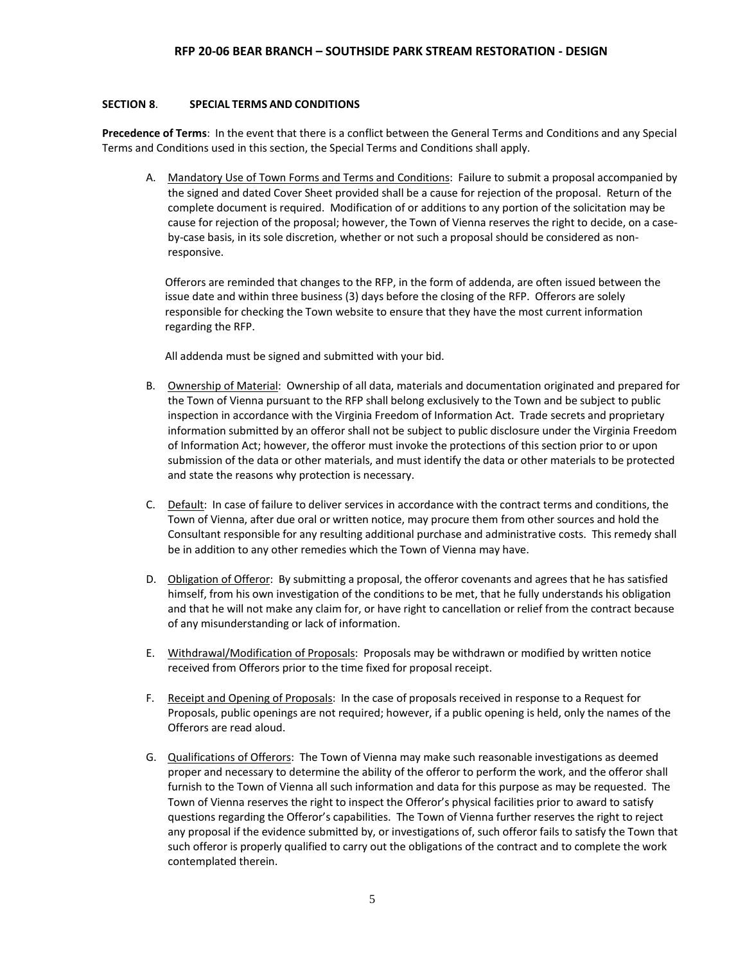#### **SECTION 8**. **SPECIAL TERMS AND CONDITIONS**

**Precedence of Terms**: In the event that there is a conflict between the General Terms and Conditions and any Special Terms and Conditions used in this section, the Special Terms and Conditions shall apply.

A. Mandatory Use of Town Forms and Terms and Conditions: Failure to submit a proposal accompanied by the signed and dated Cover Sheet provided shall be a cause for rejection of the proposal. Return of the complete document is required. Modification of or additions to any portion of the solicitation may be cause for rejection of the proposal; however, the Town of Vienna reserves the right to decide, on a caseby-case basis, in its sole discretion, whether or not such a proposal should be considered as nonresponsive.

Offerors are reminded that changes to the RFP, in the form of addenda, are often issued between the issue date and within three business (3) days before the closing of the RFP. Offerors are solely responsible for checking the Town website to ensure that they have the most current information regarding the RFP.

All addenda must be signed and submitted with your bid.

- B. Ownership of Material: Ownership of all data, materials and documentation originated and prepared for the Town of Vienna pursuant to the RFP shall belong exclusively to the Town and be subject to public inspection in accordance with the Virginia Freedom of Information Act. Trade secrets and proprietary information submitted by an offeror shall not be subject to public disclosure under the Virginia Freedom of Information Act; however, the offeror must invoke the protections of this section prior to or upon submission of the data or other materials, and must identify the data or other materials to be protected and state the reasons why protection is necessary.
- C. Default: In case of failure to deliver services in accordance with the contract terms and conditions, the Town of Vienna, after due oral or written notice, may procure them from other sources and hold the Consultant responsible for any resulting additional purchase and administrative costs. This remedy shall be in addition to any other remedies which the Town of Vienna may have.
- D. Obligation of Offeror: By submitting a proposal, the offeror covenants and agrees that he has satisfied himself, from his own investigation of the conditions to be met, that he fully understands his obligation and that he will not make any claim for, or have right to cancellation or relief from the contract because of any misunderstanding or lack of information.
- E. Withdrawal/Modification of Proposals: Proposals may be withdrawn or modified by written notice received from Offerors prior to the time fixed for proposal receipt.
- F. Receipt and Opening of Proposals: In the case of proposals received in response to a Request for Proposals, public openings are not required; however, if a public opening is held, only the names of the Offerors are read aloud.
- G. Qualifications of Offerors: The Town of Vienna may make such reasonable investigations as deemed proper and necessary to determine the ability of the offeror to perform the work, and the offeror shall furnish to the Town of Vienna all such information and data for this purpose as may be requested. The Town of Vienna reserves the right to inspect the Offeror's physical facilities prior to award to satisfy questions regarding the Offeror's capabilities. The Town of Vienna further reserves the right to reject any proposal if the evidence submitted by, or investigations of, such offeror fails to satisfy the Town that such offeror is properly qualified to carry out the obligations of the contract and to complete the work contemplated therein.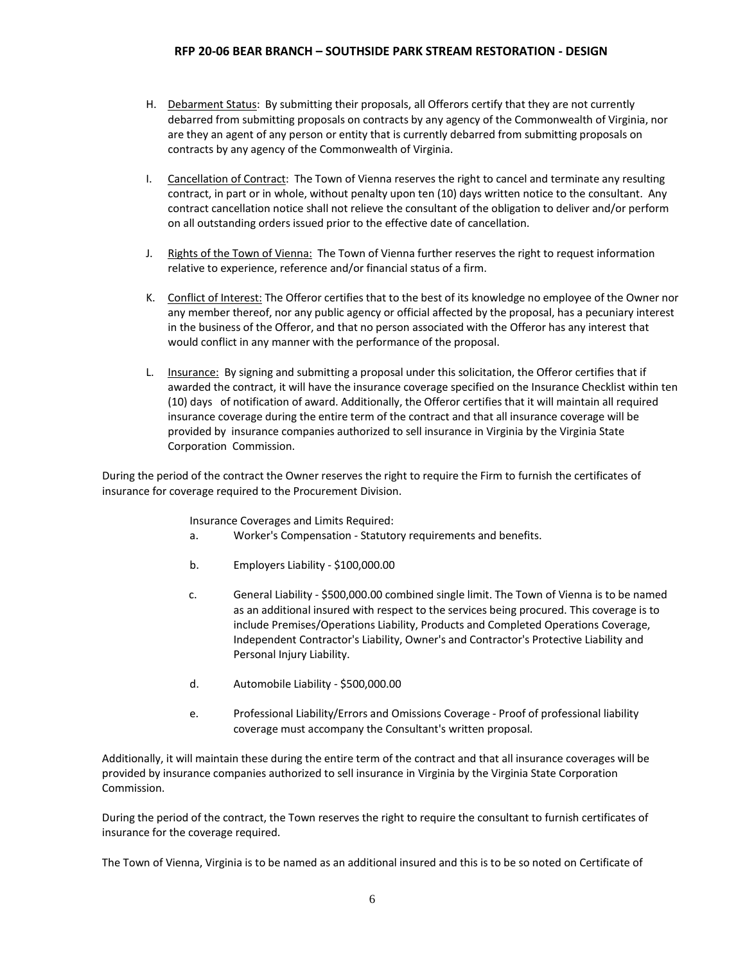- H. Debarment Status: By submitting their proposals, all Offerors certify that they are not currently debarred from submitting proposals on contracts by any agency of the Commonwealth of Virginia, nor are they an agent of any person or entity that is currently debarred from submitting proposals on contracts by any agency of the Commonwealth of Virginia.
- I. Cancellation of Contract: The Town of Vienna reserves the right to cancel and terminate any resulting contract, in part or in whole, without penalty upon ten (10) days written notice to the consultant. Any contract cancellation notice shall not relieve the consultant of the obligation to deliver and/or perform on all outstanding orders issued prior to the effective date of cancellation.
- J. Rights of the Town of Vienna: The Town of Vienna further reserves the right to request information relative to experience, reference and/or financial status of a firm.
- K. Conflict of Interest: The Offeror certifies that to the best of its knowledge no employee of the Owner nor any member thereof, nor any public agency or official affected by the proposal, has a pecuniary interest in the business of the Offeror, and that no person associated with the Offeror has any interest that would conflict in any manner with the performance of the proposal.
- L. Insurance: By signing and submitting a proposal under this solicitation, the Offeror certifies that if awarded the contract, it will have the insurance coverage specified on the Insurance Checklist within ten (10) days of notification of award. Additionally, the Offeror certifies that it will maintain all required insurance coverage during the entire term of the contract and that all insurance coverage will be provided by insurance companies authorized to sell insurance in Virginia by the Virginia State Corporation Commission.

During the period of the contract the Owner reserves the right to require the Firm to furnish the certificates of insurance for coverage required to the Procurement Division.

Insurance Coverages and Limits Required:

- a. Worker's Compensation Statutory requirements and benefits.
- b. Employers Liability \$100,000.00
- c. General Liability \$500,000.00 combined single limit. The Town of Vienna is to be named as an additional insured with respect to the services being procured. This coverage is to include Premises/Operations Liability, Products and Completed Operations Coverage, Independent Contractor's Liability, Owner's and Contractor's Protective Liability and Personal Injury Liability.
- d. Automobile Liability \$500,000.00
- e. Professional Liability/Errors and Omissions Coverage Proof of professional liability coverage must accompany the Consultant's written proposal.

Additionally, it will maintain these during the entire term of the contract and that all insurance coverages will be provided by insurance companies authorized to sell insurance in Virginia by the Virginia State Corporation Commission.

During the period of the contract, the Town reserves the right to require the consultant to furnish certificates of insurance for the coverage required.

The Town of Vienna, Virginia is to be named as an additional insured and this is to be so noted on Certificate of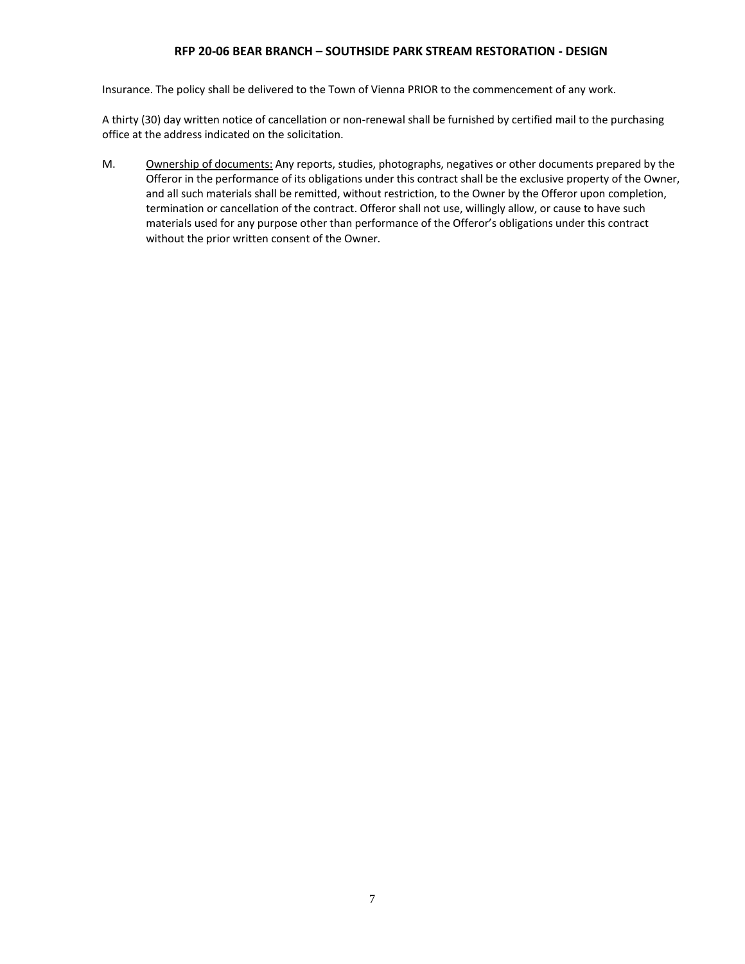Insurance. The policy shall be delivered to the Town of Vienna PRIOR to the commencement of any work.

A thirty (30) day written notice of cancellation or non-renewal shall be furnished by certified mail to the purchasing office at the address indicated on the solicitation.

M. Ownership of documents: Any reports, studies, photographs, negatives or other documents prepared by the Offeror in the performance of its obligations under this contract shall be the exclusive property of the Owner, and all such materials shall be remitted, without restriction, to the Owner by the Offeror upon completion, termination or cancellation of the contract. Offeror shall not use, willingly allow, or cause to have such materials used for any purpose other than performance of the Offeror's obligations under this contract without the prior written consent of the Owner.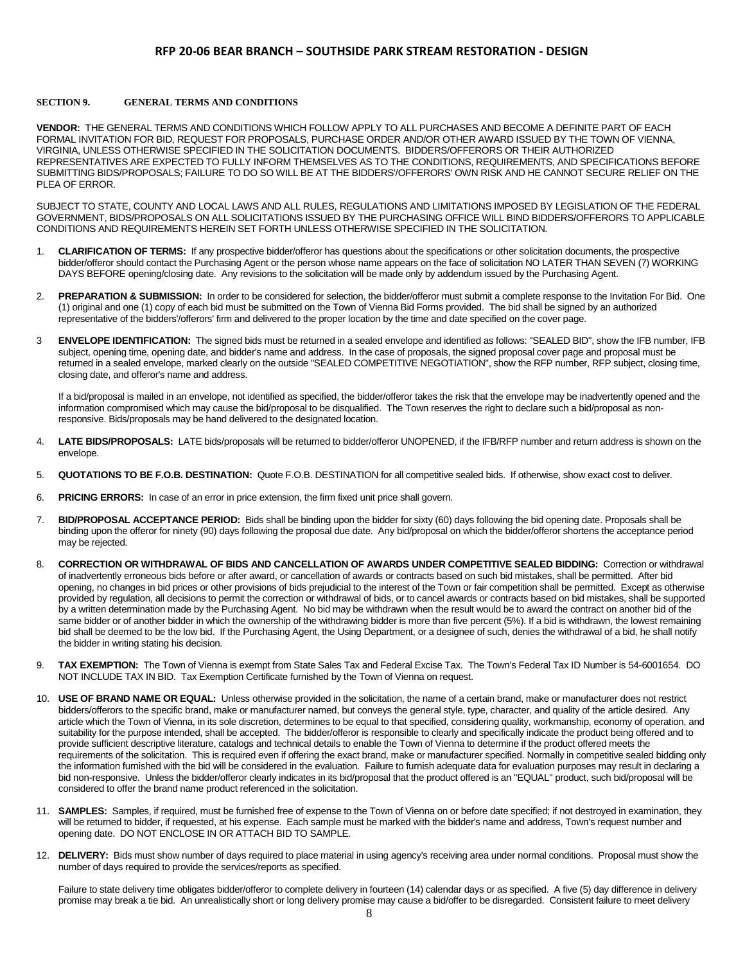#### **SECTION 9. GENERAL TERMS AND CONDITIONS**

**VENDOR:** THE GENERAL TERMS AND CONDITIONS WHICH FOLLOW APPLY TO ALL PURCHASES AND BECOME A DEFINITE PART OF EACH FORMAL INVITATION FOR BID, REQUEST FOR PROPOSALS, PURCHASE ORDER AND/OR OTHER AWARD ISSUED BY THE TOWN OF VIENNA, VIRGINIA, UNLESS OTHERWISE SPECIFIED IN THE SOLICITATION DOCUMENTS. BIDDERS/OFFERORS OR THEIR AUTHORIZED REPRESENTATIVES ARE EXPECTED TO FULLY INFORM THEMSELVES AS TO THE CONDITIONS, REQUIREMENTS, AND SPECIFICATIONS BEFORE SUBMITTING BIDS/PROPOSALS; FAILURE TO DO SO WILL BE AT THE BIDDERS'/OFFERORS' OWN RISK AND HE CANNOT SECURE RELIEF ON THE PLEA OF ERROR.

SUBJECT TO STATE, COUNTY AND LOCAL LAWS AND ALL RULES, REGULATIONS AND LIMITATIONS IMPOSED BY LEGISLATION OF THE FEDERAL GOVERNMENT, BIDS/PROPOSALS ON ALL SOLICITATIONS ISSUED BY THE PURCHASING OFFICE WILL BIND BIDDERS/OFFERORS TO APPLICABLE CONDITIONS AND REQUIREMENTS HEREIN SET FORTH UNLESS OTHERWISE SPECIFIED IN THE SOLICITATION.

- 1. **CLARIFICATION OF TERMS:** If any prospective bidder/offeror has questions about the specifications or other solicitation documents, the prospective bidder/offeror should contact the Purchasing Agent or the person whose name appears on the face of solicitation NO LATER THAN SEVEN (7) WORKING DAYS BEFORE opening/closing date. Any revisions to the solicitation will be made only by addendum issued by the Purchasing Agent.
- 2. **PREPARATION & SUBMISSION:** In order to be considered for selection, the bidder/offeror must submit a complete response to the Invitation For Bid. One (1) original and one (1) copy of each bid must be submitted on the Town of Vienna Bid Forms provided. The bid shall be signed by an authorized representative of the bidders'/offerors' firm and delivered to the proper location by the time and date specified on the cover page.
- 3 **ENVELOPE IDENTIFICATION:** The signed bids must be returned in a sealed envelope and identified as follows: "SEALED BID", show the IFB number, IFB subject, opening time, opening date, and bidder's name and address. In the case of proposals, the signed proposal cover page and proposal must be returned in a sealed envelope, marked clearly on the outside "SEALED COMPETITIVE NEGOTIATION", show the RFP number, RFP subject, closing time, closing date, and offeror's name and address.

If a bid/proposal is mailed in an envelope, not identified as specified, the bidder/offeror takes the risk that the envelope may be inadvertently opened and the information compromised which may cause the bid/proposal to be disqualified. The Town reserves the right to declare such a bid/proposal as nonresponsive. Bids/proposals may be hand delivered to the designated location.

- 4. **LATE BIDS/PROPOSALS:** LATE bids/proposals will be returned to bidder/offeror UNOPENED, if the IFB/RFP number and return address is shown on the envelope.
- 5. **QUOTATIONS TO BE F.O.B. DESTINATION:** Quote F.O.B. DESTINATION for all competitive sealed bids. If otherwise, show exact cost to deliver.
- 6. **PRICING ERRORS:** In case of an error in price extension, the firm fixed unit price shall govern.
- 7. **BID/PROPOSAL ACCEPTANCE PERIOD:** Bids shall be binding upon the bidder for sixty (60) days following the bid opening date. Proposals shall be binding upon the offeror for ninety (90) days following the proposal due date. Any bid/proposal on which the bidder/offeror shortens the acceptance period may be rejected.
- 8. **CORRECTION OR WITHDRAWAL OF BIDS AND CANCELLATION OF AWARDS UNDER COMPETITIVE SEALED BIDDING:** Correction or withdrawal of inadvertently erroneous bids before or after award, or cancellation of awards or contracts based on such bid mistakes, shall be permitted. After bid opening, no changes in bid prices or other provisions of bids prejudicial to the interest of the Town or fair competition shall be permitted. Except as otherwise provided by regulation, all decisions to permit the correction or withdrawal of bids, or to cancel awards or contracts based on bid mistakes, shall be supported by a written determination made by the Purchasing Agent. No bid may be withdrawn when the result would be to award the contract on another bid of the same bidder or of another bidder in which the ownership of the withdrawing bidder is more than five percent (5%). If a bid is withdrawn, the lowest remaining bid shall be deemed to be the low bid. If the Purchasing Agent, the Using Department, or a designee of such, denies the withdrawal of a bid, he shall notify the bidder in writing stating his decision.
- 9. **TAX EXEMPTION:** The Town of Vienna is exempt from State Sales Tax and Federal Excise Tax. The Town's Federal Tax ID Number is 54-6001654. DO NOT INCLUDE TAX IN BID. Tax Exemption Certificate furnished by the Town of Vienna on request.
- 10. **USE OF BRAND NAME OR EQUAL:** Unless otherwise provided in the solicitation, the name of a certain brand, make or manufacturer does not restrict bidders/offerors to the specific brand, make or manufacturer named, but conveys the general style, type, character, and quality of the article desired. Any article which the Town of Vienna, in its sole discretion, determines to be equal to that specified, considering quality, workmanship, economy of operation, and suitability for the purpose intended, shall be accepted. The bidder/offeror is responsible to clearly and specifically indicate the product being offered and to provide sufficient descriptive literature, catalogs and technical details to enable the Town of Vienna to determine if the product offered meets the requirements of the solicitation. This is required even if offering the exact brand, make or manufacturer specified. Normally in competitive sealed bidding only the information furnished with the bid will be considered in the evaluation. Failure to furnish adequate data for evaluation purposes may result in declaring a bid non-responsive. Unless the bidder/offeror clearly indicates in its bid/proposal that the product offered is an "EQUAL" product, such bid/proposal will be considered to offer the brand name product referenced in the solicitation.
- 11. **SAMPLES:** Samples, if required, must be furnished free of expense to the Town of Vienna on or before date specified; if not destroyed in examination, they will be returned to bidder, if requested, at his expense. Each sample must be marked with the bidder's name and address, Town's request number and opening date. DO NOT ENCLOSE IN OR ATTACH BID TO SAMPLE.
- 12. **DELIVERY:** Bids must show number of days required to place material in using agency's receiving area under normal conditions. Proposal must show the number of days required to provide the services/reports as specified.

Failure to state delivery time obligates bidder/offeror to complete delivery in fourteen (14) calendar days or as specified. A five (5) day difference in delivery promise may break a tie bid. An unrealistically short or long delivery promise may cause a bid/offer to be disregarded. Consistent failure to meet delivery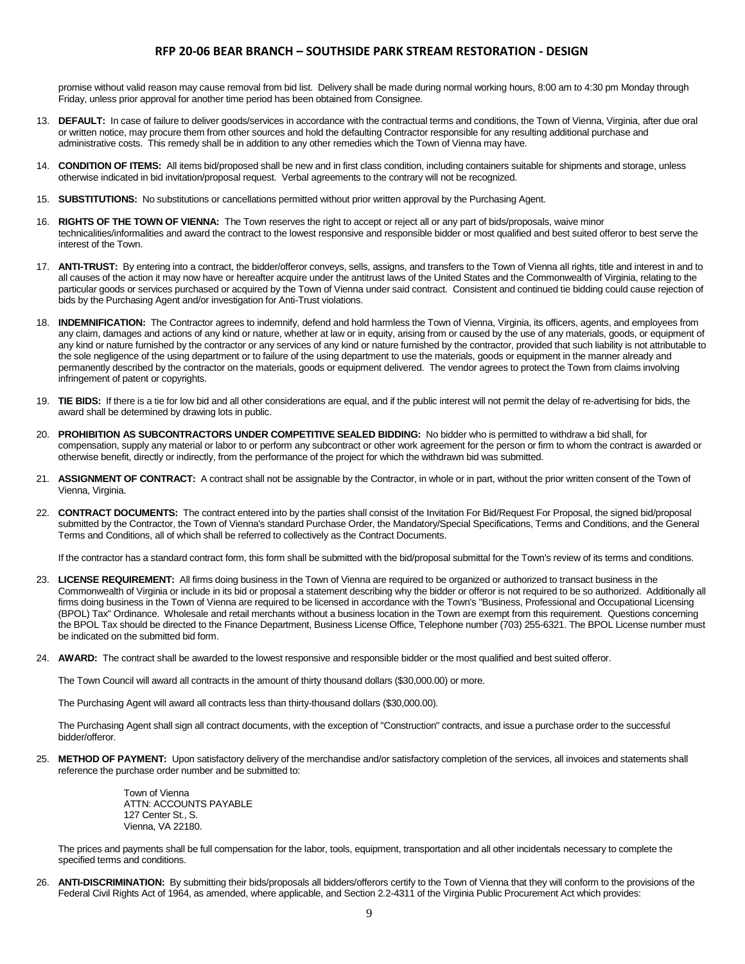promise without valid reason may cause removal from bid list. Delivery shall be made during normal working hours, 8:00 am to 4:30 pm Monday through Friday, unless prior approval for another time period has been obtained from Consignee.

- 13. **DEFAULT:** In case of failure to deliver goods/services in accordance with the contractual terms and conditions, the Town of Vienna, Virginia, after due oral or written notice, may procure them from other sources and hold the defaulting Contractor responsible for any resulting additional purchase and administrative costs. This remedy shall be in addition to any other remedies which the Town of Vienna may have.
- 14. **CONDITION OF ITEMS:** All items bid/proposed shall be new and in first class condition, including containers suitable for shipments and storage, unless otherwise indicated in bid invitation/proposal request. Verbal agreements to the contrary will not be recognized.
- 15. **SUBSTITUTIONS:** No substitutions or cancellations permitted without prior written approval by the Purchasing Agent.
- 16. **RIGHTS OF THE TOWN OF VIENNA:** The Town reserves the right to accept or reject all or any part of bids/proposals, waive minor technicalities/informalities and award the contract to the lowest responsive and responsible bidder or most qualified and best suited offeror to best serve the interest of the Town.
- 17. **ANTI-TRUST:** By entering into a contract, the bidder/offeror conveys, sells, assigns, and transfers to the Town of Vienna all rights, title and interest in and to all causes of the action it may now have or hereafter acquire under the antitrust laws of the United States and the Commonwealth of Virginia, relating to the particular goods or services purchased or acquired by the Town of Vienna under said contract. Consistent and continued tie bidding could cause rejection of bids by the Purchasing Agent and/or investigation for Anti-Trust violations.
- 18. **INDEMNIFICATION:** The Contractor agrees to indemnify, defend and hold harmless the Town of Vienna, Virginia, its officers, agents, and employees from any claim, damages and actions of any kind or nature, whether at law or in equity, arising from or caused by the use of any materials, goods, or equipment of any kind or nature furnished by the contractor or any services of any kind or nature furnished by the contractor, provided that such liability is not attributable to the sole negligence of the using department or to failure of the using department to use the materials, goods or equipment in the manner already and permanently described by the contractor on the materials, goods or equipment delivered. The vendor agrees to protect the Town from claims involving infringement of patent or copyrights.
- 19. **TIE BIDS:** If there is a tie for low bid and all other considerations are equal, and if the public interest will not permit the delay of re-advertising for bids, the award shall be determined by drawing lots in public.
- 20. **PROHIBITION AS SUBCONTRACTORS UNDER COMPETITIVE SEALED BIDDING:** No bidder who is permitted to withdraw a bid shall, for compensation, supply any material or labor to or perform any subcontract or other work agreement for the person or firm to whom the contract is awarded or otherwise benefit, directly or indirectly, from the performance of the project for which the withdrawn bid was submitted.
- 21. **ASSIGNMENT OF CONTRACT:** A contract shall not be assignable by the Contractor, in whole or in part, without the prior written consent of the Town of Vienna, Virginia.
- 22. **CONTRACT DOCUMENTS:** The contract entered into by the parties shall consist of the Invitation For Bid/Request For Proposal, the signed bid/proposal submitted by the Contractor, the Town of Vienna's standard Purchase Order, the Mandatory/Special Specifications, Terms and Conditions, and the General Terms and Conditions, all of which shall be referred to collectively as the Contract Documents.

If the contractor has a standard contract form, this form shall be submitted with the bid/proposal submittal for the Town's review of its terms and conditions.

- 23. **LICENSE REQUIREMENT:** All firms doing business in the Town of Vienna are required to be organized or authorized to transact business in the Commonwealth of Virginia or include in its bid or proposal a statement describing why the bidder or offeror is not required to be so authorized. Additionally all firms doing business in the Town of Vienna are required to be licensed in accordance with the Town's "Business, Professional and Occupational Licensing (BPOL) Tax" Ordinance. Wholesale and retail merchants without a business location in the Town are exempt from this requirement. Questions concerning the BPOL Tax should be directed to the Finance Department, Business License Office, Telephone number (703) 255-6321. The BPOL License number must be indicated on the submitted bid form.
- 24. **AWARD:** The contract shall be awarded to the lowest responsive and responsible bidder or the most qualified and best suited offeror.

The Town Council will award all contracts in the amount of thirty thousand dollars (\$30,000.00) or more.

The Purchasing Agent will award all contracts less than thirty-thousand dollars (\$30,000.00).

The Purchasing Agent shall sign all contract documents, with the exception of "Construction" contracts, and issue a purchase order to the successful bidder/offeror.

25. **METHOD OF PAYMENT:** Upon satisfactory delivery of the merchandise and/or satisfactory completion of the services, all invoices and statements shall reference the purchase order number and be submitted to:

> Town of Vienna ATTN: ACCOUNTS PAYABLE 127 Center St., S. Vienna, VA 22180.

The prices and payments shall be full compensation for the labor, tools, equipment, transportation and all other incidentals necessary to complete the specified terms and conditions.

26. **ANTI-DISCRIMINATION:** By submitting their bids/proposals all bidders/offerors certify to the Town of Vienna that they will conform to the provisions of the Federal Civil Rights Act of 1964, as amended, where applicable, and Section 2.2-4311 of the Virginia Public Procurement Act which provides: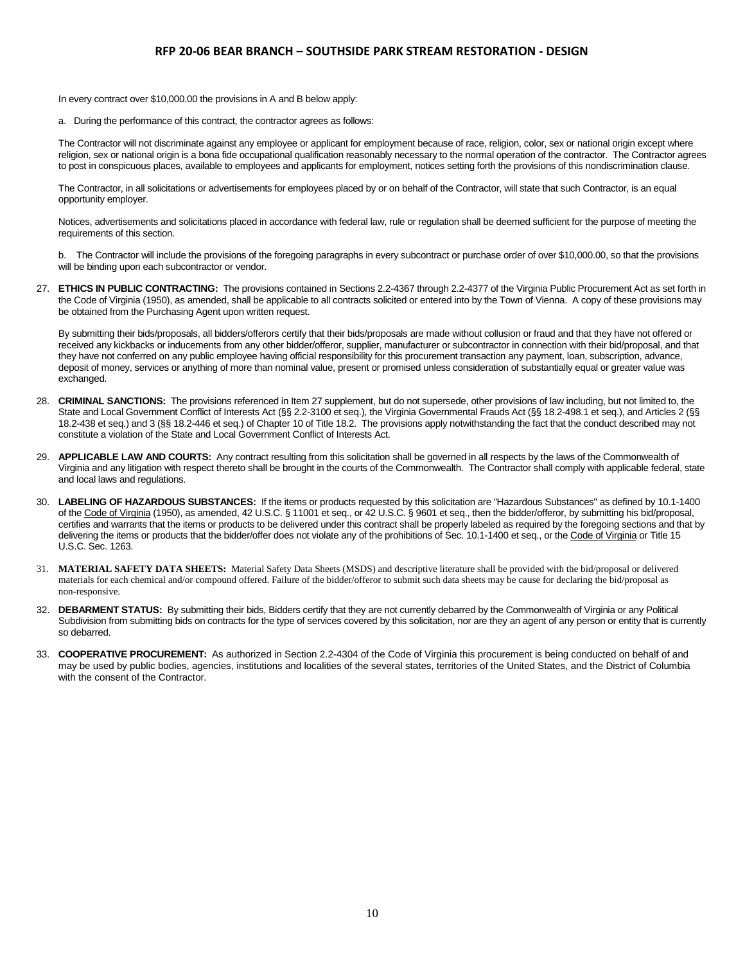In every contract over \$10,000.00 the provisions in A and B below apply:

a. During the performance of this contract, the contractor agrees as follows:

The Contractor will not discriminate against any employee or applicant for employment because of race, religion, color, sex or national origin except where religion, sex or national origin is a bona fide occupational qualification reasonably necessary to the normal operation of the contractor. The Contractor agrees to post in conspicuous places, available to employees and applicants for employment, notices setting forth the provisions of this nondiscrimination clause.

The Contractor, in all solicitations or advertisements for employees placed by or on behalf of the Contractor, will state that such Contractor, is an equal opportunity employer.

Notices, advertisements and solicitations placed in accordance with federal law, rule or regulation shall be deemed sufficient for the purpose of meeting the requirements of this section.

b. The Contractor will include the provisions of the foregoing paragraphs in every subcontract or purchase order of over \$10,000.00, so that the provisions will be binding upon each subcontractor or vendor.

27. **ETHICS IN PUBLIC CONTRACTING:** The provisions contained in Sections 2.2-4367 through 2.2-4377 of the Virginia Public Procurement Act as set forth in the Code of Virginia (1950), as amended, shall be applicable to all contracts solicited or entered into by the Town of Vienna. A copy of these provisions may be obtained from the Purchasing Agent upon written request.

By submitting their bids/proposals, all bidders/offerors certify that their bids/proposals are made without collusion or fraud and that they have not offered or received any kickbacks or inducements from any other bidder/offeror, supplier, manufacturer or subcontractor in connection with their bid/proposal, and that they have not conferred on any public employee having official responsibility for this procurement transaction any payment, loan, subscription, advance, deposit of money, services or anything of more than nominal value, present or promised unless consideration of substantially equal or greater value was exchanged.

- 28. **CRIMINAL SANCTIONS:** The provisions referenced in Item 27 supplement, but do not supersede, other provisions of law including, but not limited to, the State and Local Government Conflict of Interests Act (§§ 2.2-3100 et seq.), the Virginia Governmental Frauds Act (§§ 18.2-498.1 et seq.), and Articles 2 (§§ 18.2-438 et seq.) and 3 (§§ 18.2-446 et seq.) of Chapter 10 of Title 18.2. The provisions apply notwithstanding the fact that the conduct described may not constitute a violation of the State and Local Government Conflict of Interests Act.
- 29. **APPLICABLE LAW AND COURTS:** Any contract resulting from this solicitation shall be governed in all respects by the laws of the Commonwealth of Virginia and any litigation with respect thereto shall be brought in the courts of the Commonwealth. The Contractor shall comply with applicable federal, state and local laws and regulations.
- 30. **LABELING OF HAZARDOUS SUBSTANCES:** If the items or products requested by this solicitation are "Hazardous Substances" as defined by 10.1-1400 of the Code of Virginia (1950), as amended, 42 U.S.C. § 11001 et seq., or 42 U.S.C. § 9601 et seq., then the bidder/offeror, by submitting his bid/proposal, certifies and warrants that the items or products to be delivered under this contract shall be properly labeled as required by the foregoing sections and that by delivering the items or products that the bidder/offer does not violate any of the prohibitions of Sec. 10.1-1400 et seq., or the Code of Virginia or Title 15 U.S.C. Sec. 1263.
- 31. **MATERIAL SAFETY DATA SHEETS:** Material Safety Data Sheets (MSDS) and descriptive literature shall be provided with the bid/proposal or delivered materials for each chemical and/or compound offered. Failure of the bidder/offeror to submit such data sheets may be cause for declaring the bid/proposal as non-responsive.
- 32. **DEBARMENT STATUS:** By submitting their bids, Bidders certify that they are not currently debarred by the Commonwealth of Virginia or any Political Subdivision from submitting bids on contracts for the type of services covered by this solicitation, nor are they an agent of any person or entity that is currently so debarred.
- 33. **COOPERATIVE PROCUREMENT:** As authorized in Section 2.2-4304 of the Code of Virginia this procurement is being conducted on behalf of and may be used by public bodies, agencies, institutions and localities of the several states, territories of the United States, and the District of Columbia with the consent of the Contractor.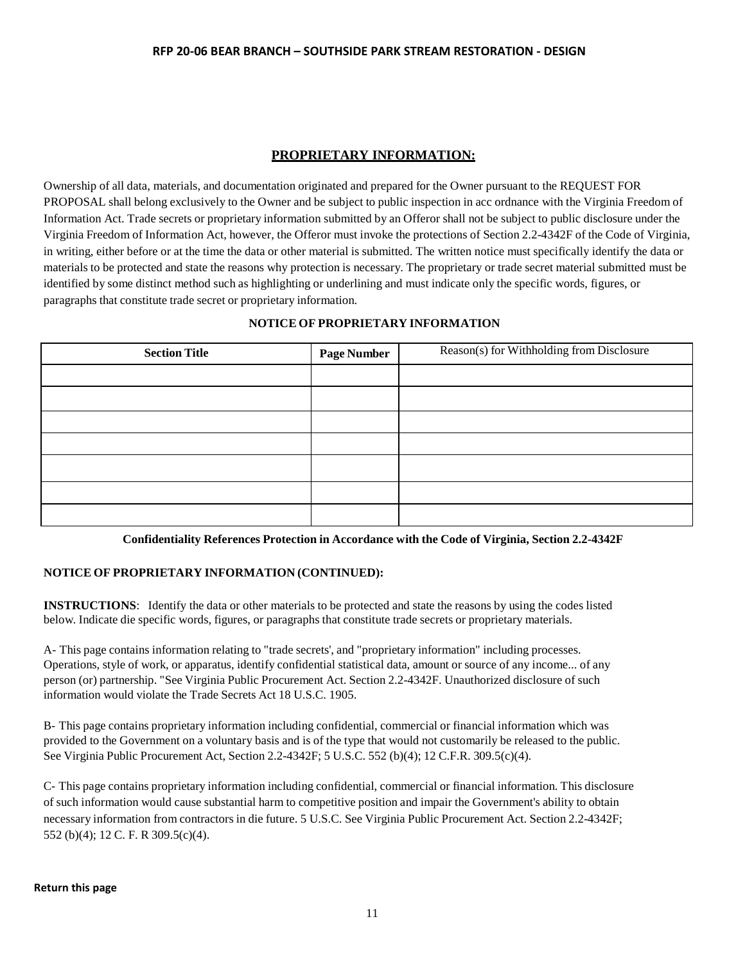# **PROPRIETARY INFORMATION:**

Ownership of all data, materials, and documentation originated and prepared for the Owner pursuant to the REQUEST FOR PROPOSAL shall belong exclusively to the Owner and be subject to public inspection in acc ordnance with the Virginia Freedom of Information Act. Trade secrets or proprietary information submitted by an Offeror shall not be subject to public disclosure under the Virginia Freedom of Information Act, however, the Offeror must invoke the protections of Section 2.2-4342F of the Code of Virginia, in writing, either before or at the time the data or other material is submitted. The written notice must specifically identify the data or materials to be protected and state the reasons why protection is necessary. The proprietary or trade secret material submitted must be identified by some distinct method such as highlighting or underlining and must indicate only the specific words, figures, or paragraphs that constitute trade secret or proprietary information.

## **NOTICE OF PROPRIETARY INFORMATION**

| <b>Section Title</b> | <b>Page Number</b> | Reason(s) for Withholding from Disclosure |
|----------------------|--------------------|-------------------------------------------|
|                      |                    |                                           |
|                      |                    |                                           |
|                      |                    |                                           |
|                      |                    |                                           |
|                      |                    |                                           |
|                      |                    |                                           |
|                      |                    |                                           |

**Confidentiality References Protection in Accordance with the Code of Virginia, Section 2.2-4342F**

# **NOTICE OF PROPRIETARY INFORMATION (CONTINUED):**

**INSTRUCTIONS**: Identify the data or other materials to be protected and state the reasons by using the codes listed below. Indicate die specific words, figures, or paragraphs that constitute trade secrets or proprietary materials.

A- This page contains information relating to "trade secrets', and "proprietary information" including processes. Operations, style of work, or apparatus, identify confidential statistical data, amount or source of any income... of any person (or) partnership. "See Virginia Public Procurement Act. Section 2.2-4342F. Unauthorized disclosure of such information would violate the Trade Secrets Act 18 U.S.C. 1905.

B- This page contains proprietary information including confidential, commercial or financial information which was provided to the Government on a voluntary basis and is of the type that would not customarily be released to the public. See Virginia Public Procurement Act, Section 2.2-4342F; 5 U.S.C. 552 (b)(4); 12 C.F.R. 309.5(c)(4).

C- This page contains proprietary information including confidential, commercial or financial information. This disclosure of such information would cause substantial harm to competitive position and impair the Government's ability to obtain necessary information from contractors in die future. 5 U.S.C. See Virginia Public Procurement Act. Section 2.2-4342F; 552 (b)(4); 12 C. F. R 309.5(c)(4).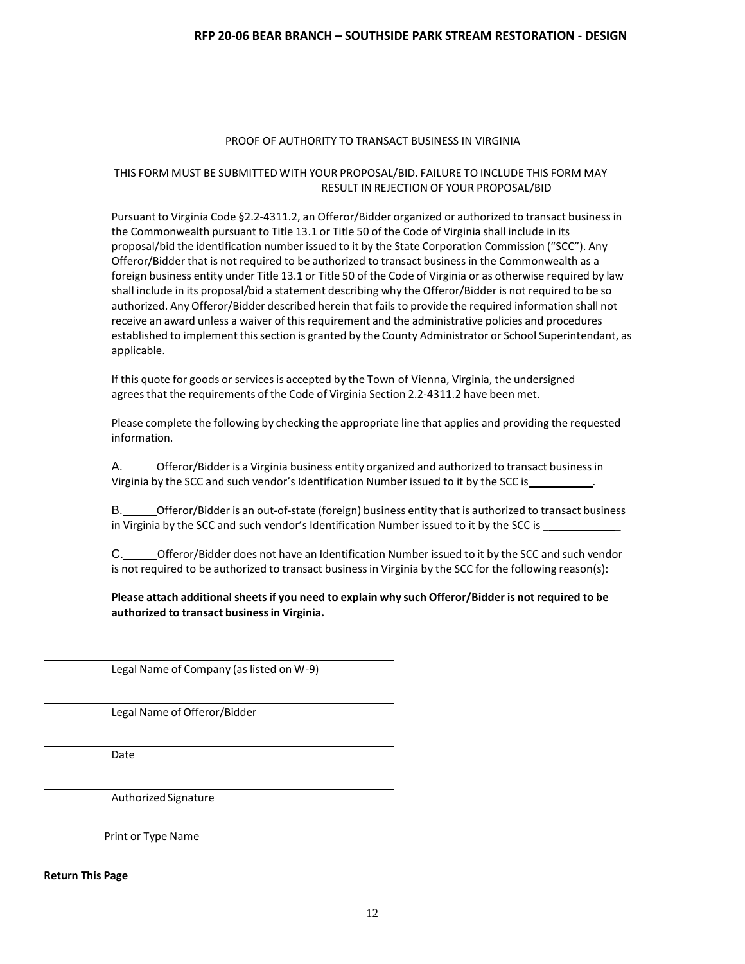#### PROOF OF AUTHORITY TO TRANSACT BUSINESS IN VIRGINIA

## THIS FORM MUST BE SUBMITTED WITH YOUR PROPOSAL/BID. FAILURE TO INCLUDE THIS FORM MAY RESULT IN REJECTION OF YOUR PROPOSAL/BID

Pursuant to Virginia Code §2.2-4311.2, an Offeror/Bidder organized or authorized to transact businessin the Commonwealth pursuant to Title 13.1 or Title 50 of the Code of Virginia shall include in its proposal/bid the identification number issued to it by the State Corporation Commission ("SCC"). Any Offeror/Bidder that is not required to be authorized to transact business in the Commonwealth as a foreign business entity under Title 13.1 or Title 50 of the Code of Virginia or as otherwise required by law shall include in its proposal/bid a statement describing why the Offeror/Bidder is not required to be so authorized. Any Offeror/Bidder described herein that fails to provide the required information shall not receive an award unless a waiver of this requirement and the administrative policies and procedures established to implement this section is granted by the County Administrator or School Superintendant, as applicable.

If this quote for goods or services is accepted by the Town of Vienna, Virginia, the undersigned agrees that the requirements of the Code of Virginia Section 2.2-4311.2 have been met.

Please complete the following by checking the appropriate line that applies and providing the requested information.

A. **Charage 1** Offeror/Bidder is a Virginia business entity organized and authorized to transact business in Virginia by the SCC and such vendor's Identification Number issued to it by the SCC is\_

B. Offeror/Bidder is an out-of-state (foreign) business entity that is authorized to transact business in Virginia by the SCC and such vendor's Identification Number issued to it by the SCC is

C. C. CHEROF Offeror/Bidder does not have an Identification Number issued to it by the SCC and such vendor is not required to be authorized to transact business in Virginia by the SCC for the following reason(s):

**Please attach additional sheetsif you need to explain why such Offeror/Bidder is not required to be authorized to transact businessin Virginia.**

Legal Name of Company (as listed on W-9)

Legal Name of Offeror/Bidder

Date

Authorized Signature

Print or Type Name

**Return This Page**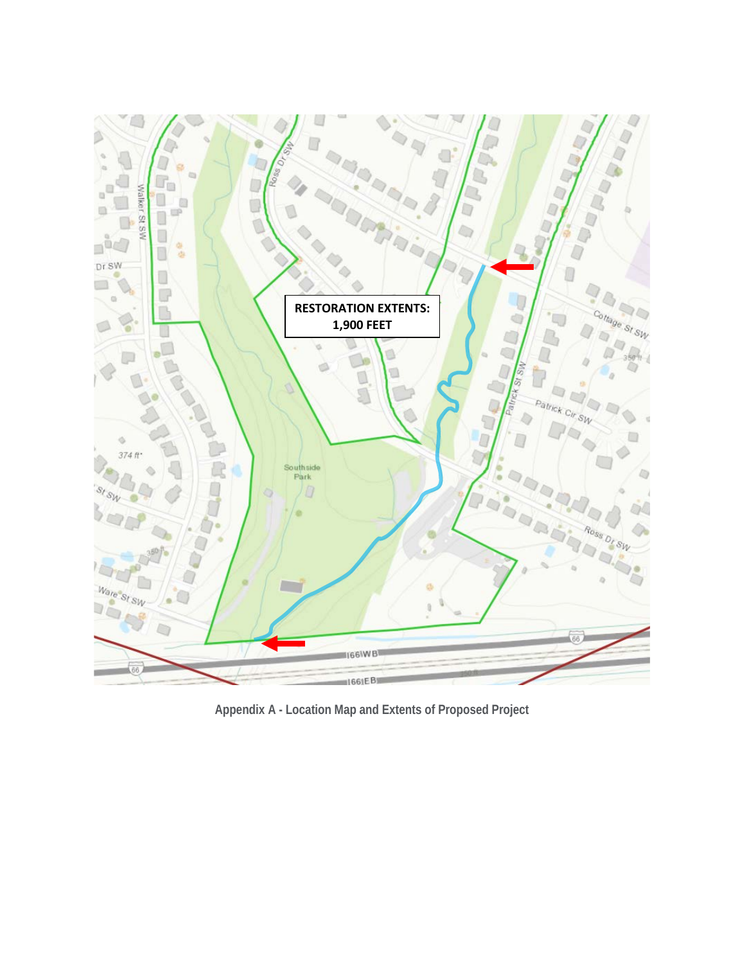

**Appendix A - Location Map and Extents of Proposed Project**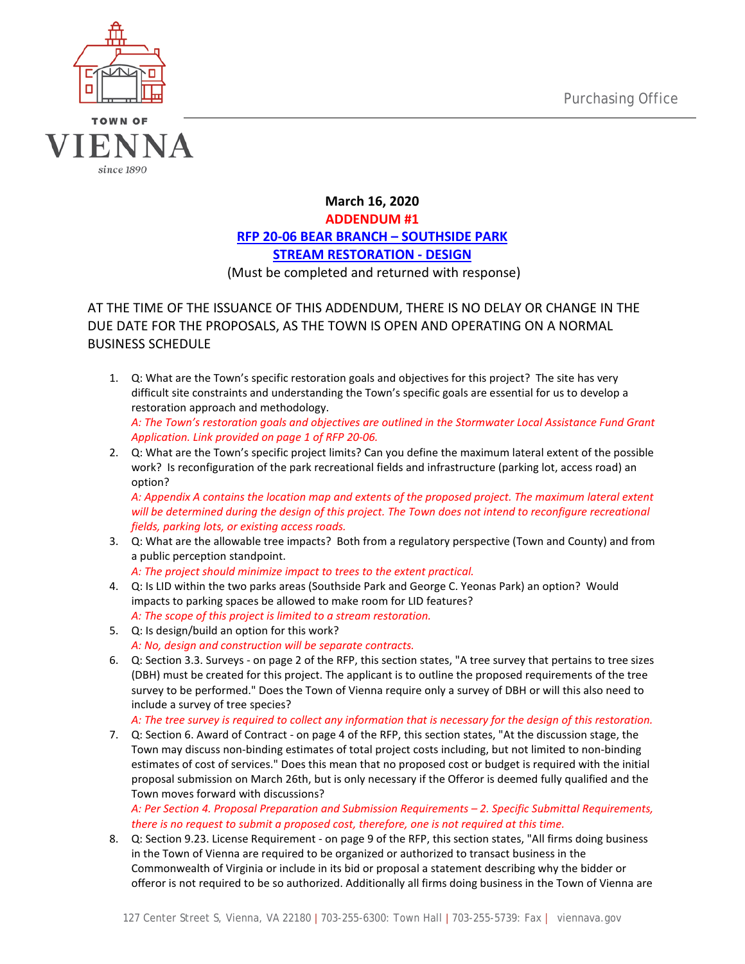

# **March 16, 2020 ADDENDUM #1 RFP 20-06 BEAR BRANCH – SOUTHSIDE PARK STREAM RESTORATION - DESIGN** (Must be completed and returned with response)

AT THE TIME OF THE ISSUANCE OF THIS ADDENDUM, THERE IS NO DELAY OR CHANGE IN THE DUE DATE FOR THE PROPOSALS, AS THE TOWN IS OPEN AND OPERATING ON A NORMAL BUSINESS SCHEDULE

- 1. Q: What are the Town's specific restoration goals and objectives for this project? The site has very difficult site constraints and understanding the Town's specific goals are essential for us to develop a restoration approach and methodology. *A: The Town's restoration goals and objectives are outlined in the Stormwater Local Assistance Fund Grant Application. Link provided on page 1 of RFP 20-06.*
- 2. Q: What are the Town's specific project limits? Can you define the maximum lateral extent of the possible work? Is reconfiguration of the park recreational fields and infrastructure (parking lot, access road) an option?

*A: Appendix A contains the location map and extents of the proposed project. The maximum lateral extent will be determined during the design of this project. The Town does not intend to reconfigure recreational fields, parking lots, or existing access roads.* 

- 3. Q: What are the allowable tree impacts? Both from a regulatory perspective (Town and County) and from a public perception standpoint.
	- *A: The project should minimize impact to trees to the extent practical.*
- 4. Q: Is LID within the two parks areas (Southside Park and George C. Yeonas Park) an option? Would impacts to parking spaces be allowed to make room for LID features? *A: The scope of this project is limited to a stream restoration.*
- 5. Q: Is design/build an option for this work? *A: No, design and construction will be separate contracts.*
- 6. Q: Section 3.3. Surveys on page 2 of the RFP, this section states, "A tree survey that pertains to tree sizes (DBH) must be created for this project. The applicant is to outline the proposed requirements of the tree survey to be performed." Does the Town of Vienna require only a survey of DBH or will this also need to include a survey of tree species?

*A: The tree survey is required to collect any information that is necessary for the design of this restoration.* 

7. Q: Section 6. Award of Contract - on page 4 of the RFP, this section states, "At the discussion stage, the Town may discuss non-binding estimates of total project costs including, but not limited to non-binding estimates of cost of services." Does this mean that no proposed cost or budget is required with the initial proposal submission on March 26th, but is only necessary if the Offeror is deemed fully qualified and the Town moves forward with discussions?

*A: Per Section 4. Proposal Preparation and Submission Requirements – 2. Specific Submittal Requirements, there is no request to submit a proposed cost, therefore, one is not required at this time.*

8. Q: Section 9.23. License Requirement - on page 9 of the RFP, this section states, "All firms doing business in the Town of Vienna are required to be organized or authorized to transact business in the Commonwealth of Virginia or include in its bid or proposal a statement describing why the bidder or offeror is not required to be so authorized. Additionally all firms doing business in the Town of Vienna are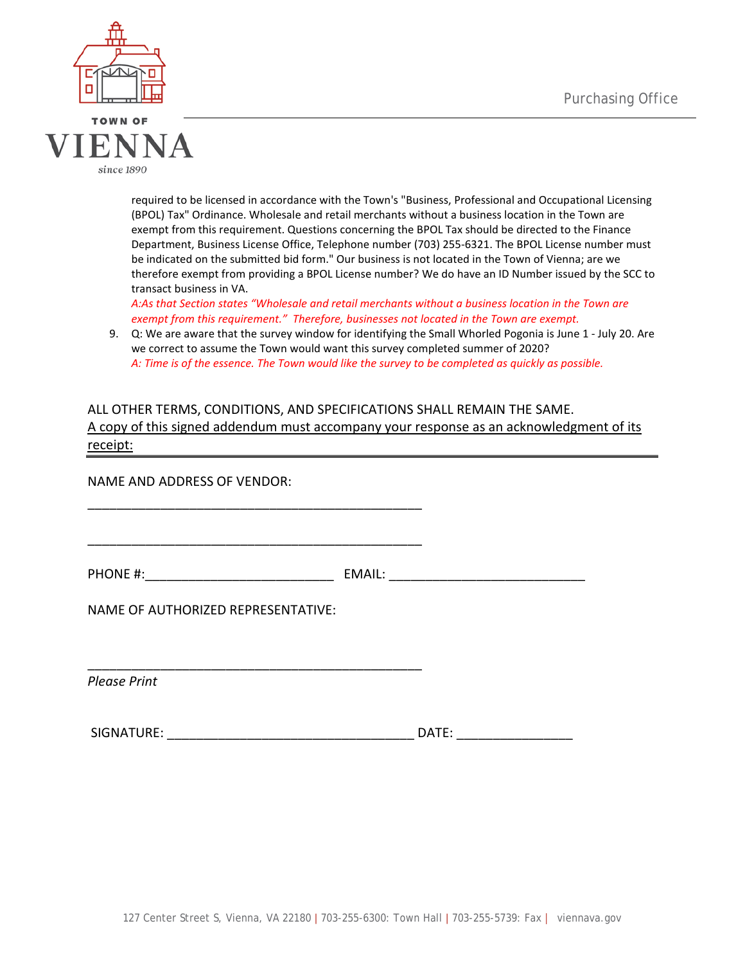



required to be licensed in accordance with the Town's "Business, Professional and Occupational Licensing (BPOL) Tax" Ordinance. Wholesale and retail merchants without a business location in the Town are exempt from this requirement. Questions concerning the BPOL Tax should be directed to the Finance Department, Business License Office, Telephone number (703) 255-6321. The BPOL License number must be indicated on the submitted bid form." Our business is not located in the Town of Vienna; are we therefore exempt from providing a BPOL License number? We do have an ID Number issued by the SCC to transact business in VA.

*A:As that Section states "Wholesale and retail merchants without a business location in the Town are exempt from this requirement." Therefore, businesses not located in the Town are exempt.* 

9. Q: We are aware that the survey window for identifying the Small Whorled Pogonia is June 1 - July 20. Are we correct to assume the Town would want this survey completed summer of 2020? *A: Time is of the essence. The Town would like the survey to be completed as quickly as possible.* 

# ALL OTHER TERMS, CONDITIONS, AND SPECIFICATIONS SHALL REMAIN THE SAME. A copy of this signed addendum must accompany your response as an acknowledgment of its receipt:

NAME AND ADDRESS OF VENDOR:

PHONE #:  $EMAIL:$ 

\_\_\_\_\_\_\_\_\_\_\_\_\_\_\_\_\_\_\_\_\_\_\_\_\_\_\_\_\_\_\_\_\_\_\_\_\_\_\_\_\_\_\_\_\_\_

\_\_\_\_\_\_\_\_\_\_\_\_\_\_\_\_\_\_\_\_\_\_\_\_\_\_\_\_\_\_\_\_\_\_\_\_\_\_\_\_\_\_\_\_\_\_

\_\_\_\_\_\_\_\_\_\_\_\_\_\_\_\_\_\_\_\_\_\_\_\_\_\_\_\_\_\_\_\_\_\_\_\_\_\_\_\_\_\_\_\_\_\_

NAME OF AUTHORIZED REPRESENTATIVE:

*Please Print*

| <b>SIGNATURE</b><br>1 N.L. | ۱Δ<br>. |  |
|----------------------------|---------|--|
|----------------------------|---------|--|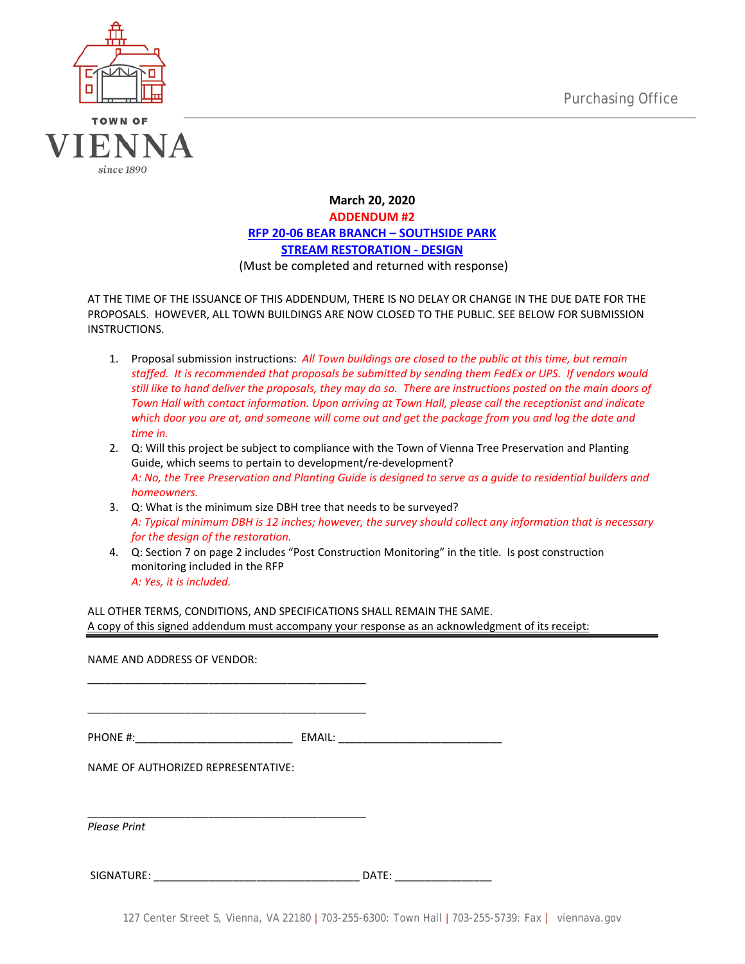

# **March 20, 2020 ADDENDUM #2 RFP 20-06 BEAR BRANCH – SOUTHSIDE PARK STREAM RESTORATION - DESIGN** (Must be completed and returned with response)

AT THE TIME OF THE ISSUANCE OF THIS ADDENDUM, THERE IS NO DELAY OR CHANGE IN THE DUE DATE FOR THE PROPOSALS. HOWEVER, ALL TOWN BUILDINGS ARE NOW CLOSED TO THE PUBLIC. SEE BELOW FOR SUBMISSION INSTRUCTIONS.

- 1. Proposal submission instructions: *All Town buildings are closed to the public at this time, but remain staffed. It is recommended that proposals be submitted by sending them FedEx or UPS. If vendors would still like to hand deliver the proposals, they may do so. There are instructions posted on the main doors of Town Hall with contact information. Upon arriving at Town Hall, please call the receptionist and indicate which door you are at, and someone will come out and get the package from you and log the date and time in.*
- 2. Q: Will this project be subject to compliance with the Town of Vienna Tree Preservation and Planting Guide, which seems to pertain to development/re-development? *A: No, the Tree Preservation and Planting Guide is designed to serve as a guide to residential builders and homeowners.*
- 3. Q: What is the minimum size DBH tree that needs to be surveyed? *A: Typical minimum DBH is 12 inches; however, the survey should collect any information that is necessary for the design of the restoration.*
- 4. Q: Section 7 on page 2 includes "Post Construction Monitoring" in the title. Is post construction monitoring included in the RFP *A: Yes, it is included.*

ALL OTHER TERMS, CONDITIONS, AND SPECIFICATIONS SHALL REMAIN THE SAME. A copy of this signed addendum must accompany your response as an acknowledgment of its receipt:

NAME AND ADDRESS OF VENDOR: \_\_\_\_\_\_\_\_\_\_\_\_\_\_\_\_\_\_\_\_\_\_\_\_\_\_\_\_\_\_\_\_\_\_\_\_\_\_\_\_\_\_\_\_\_\_ \_\_\_\_\_\_\_\_\_\_\_\_\_\_\_\_\_\_\_\_\_\_\_\_\_\_\_\_\_\_\_\_\_\_\_\_\_\_\_\_\_\_\_\_\_\_ PHONE #:  $EMAIL:$ NAME OF AUTHORIZED REPRESENTATIVE: \_\_\_\_\_\_\_\_\_\_\_\_\_\_\_\_\_\_\_\_\_\_\_\_\_\_\_\_\_\_\_\_\_\_\_\_\_\_\_\_\_\_\_\_\_\_ *Please Print*

SIGNATURE: \_\_\_\_\_\_\_\_\_\_\_\_\_\_\_\_\_\_\_\_\_\_\_\_\_\_\_\_\_\_\_\_\_\_ DATE: \_\_\_\_\_\_\_\_\_\_\_\_\_\_\_\_